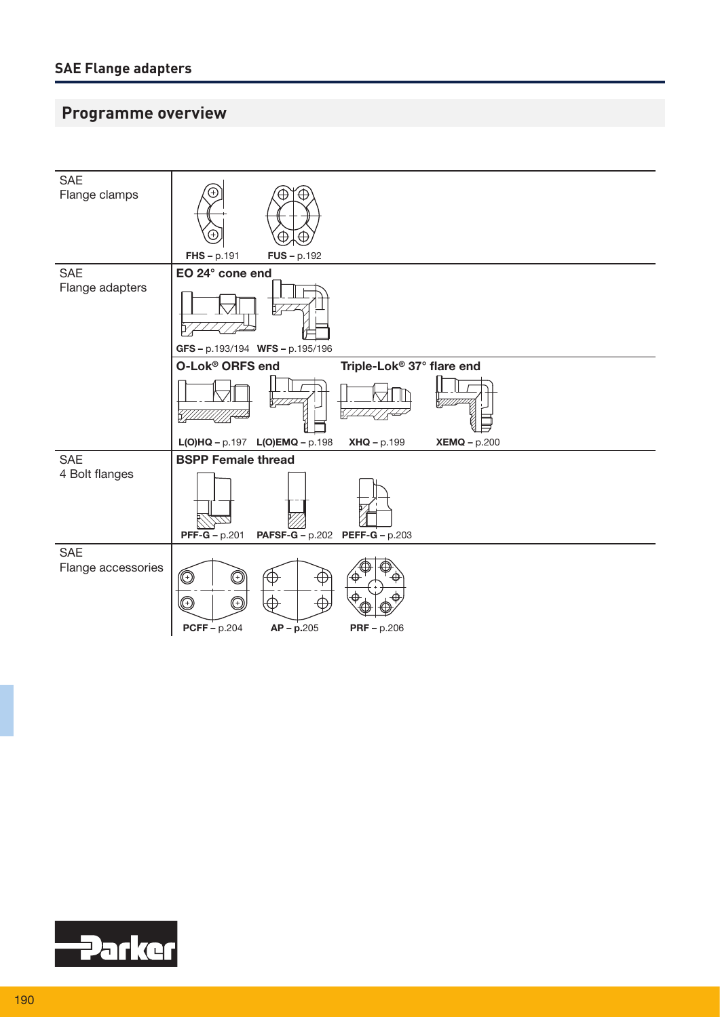## **Programme overview**



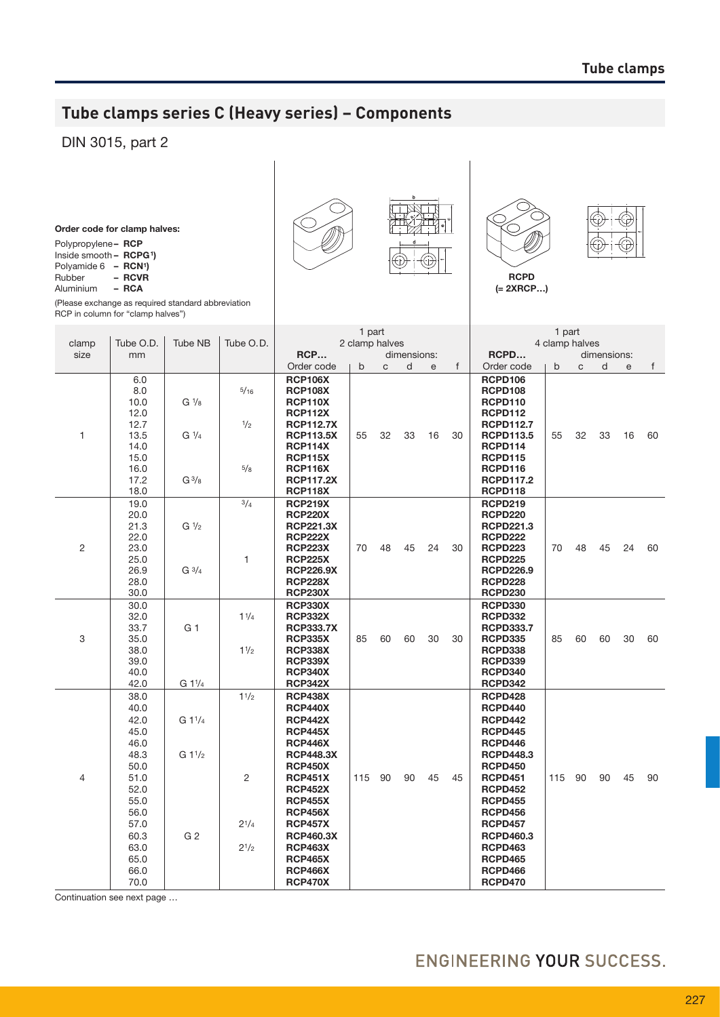## **Tube clamps series C (Heavy series) – Components**

## DIN 3015, part 2

Order code for clamp halves:

| Polypropylene- RCP                    |  |
|---------------------------------------|--|
| Inside smooth $-$ RCPG <sup>1</sup> ) |  |

|             | .                  |  |
|-------------|--------------------|--|
| Polyamide 6 | RCN <sup>1</sup> ) |  |

Rubber – RCVR

Aluminium

(Please exchange as required standard abbreviation RCP in column for "clamp halves")







(= 2xrcp…)

|                                                                                                                                      |                                            |                                                                | 1 part<br>2 clamp halves<br>RCP<br>dimensions:                                                                                                                                                                                                                                                                     |                                    |    |           |    |              | 1 part<br>4 clamp halves                                                                                                                                                                                                                                                                             |                                    |    |    |    |                   |
|--------------------------------------------------------------------------------------------------------------------------------------|--------------------------------------------|----------------------------------------------------------------|--------------------------------------------------------------------------------------------------------------------------------------------------------------------------------------------------------------------------------------------------------------------------------------------------------------------|------------------------------------|----|-----------|----|--------------|------------------------------------------------------------------------------------------------------------------------------------------------------------------------------------------------------------------------------------------------------------------------------------------------------|------------------------------------|----|----|----|-------------------|
| mm                                                                                                                                   |                                            |                                                                |                                                                                                                                                                                                                                                                                                                    |                                    |    |           |    |              | RCPD                                                                                                                                                                                                                                                                                                 |                                    |    |    |    |                   |
|                                                                                                                                      |                                            |                                                                | Order code                                                                                                                                                                                                                                                                                                         | b                                  | C  | d         | e  | $\mathsf{f}$ | Order code                                                                                                                                                                                                                                                                                           | $\mathsf{b}$                       | C  | d  | e  | f                 |
| 6.0<br>8.0<br>10.0<br>12.0<br>12.7                                                                                                   | $G\frac{1}{8}$                             | 5/16<br>1/2                                                    | <b>RCP106X</b><br><b>RCP108X</b><br><b>RCP110X</b><br><b>RCP112X</b><br><b>RCP112.7X</b>                                                                                                                                                                                                                           |                                    |    |           |    |              | <b>RCPD106</b><br><b>RCPD108</b><br><b>RCPD110</b><br><b>RCPD112</b><br><b>RCPD112.7</b>                                                                                                                                                                                                             |                                    |    |    |    | 60                |
| 14.0<br>15.0<br>16.0<br>17.2<br>18.0                                                                                                 | $G^{3/8}$                                  | 5/8                                                            | <b>RCP114X</b><br><b>RCP115X</b><br><b>RCP116X</b><br><b>RCP117.2X</b><br><b>RCP118X</b>                                                                                                                                                                                                                           |                                    |    |           |    |              | RCPD114<br><b>RCPD115</b><br>RCPD116<br><b>RCPD117.2</b><br><b>RCPD118</b>                                                                                                                                                                                                                           |                                    |    |    |    |                   |
| 19.0<br>20.0<br>21.3<br>22.0<br>23.0<br>25.0<br>26.9<br>28.0                                                                         | G <sup>1</sup> /2<br>$G \frac{3}{4}$       | 3/4<br>1                                                       | <b>RCP219X</b><br><b>RCP220X</b><br><b>RCP221.3X</b><br><b>RCP222X</b><br><b>RCP223X</b><br><b>RCP225X</b><br><b>RCP226.9X</b><br><b>RCP228X</b>                                                                                                                                                                   | 70                                 | 48 | 45        | 24 | 30           | <b>RCPD219</b><br><b>RCPD220</b><br><b>RCPD221.3</b><br><b>RCPD222</b><br><b>RCPD223</b><br><b>RCPD225</b><br><b>RCPD226.9</b><br><b>RCPD228</b>                                                                                                                                                     | 70                                 | 48 | 45 | 24 | 60                |
| 30.0<br>32.0<br>33.7<br>35.0<br>38.0<br>39.0<br>40.0<br>42.0                                                                         | G 1<br>G 11/4                              | 11/4<br>11/2                                                   | <b>RCP330X</b><br><b>RCP332X</b><br><b>RCP333.7X</b><br><b>RCP335X</b><br><b>RCP338X</b><br><b>RCP339X</b><br><b>RCP340X</b><br><b>RCP342X</b>                                                                                                                                                                     | 85                                 | 60 | 60        | 30 | 30           | <b>RCPD330</b><br><b>RCPD332</b><br><b>RCPD333.7</b><br><b>RCPD335</b><br><b>RCPD338</b><br><b>RCPD339</b><br><b>RCPD340</b><br>RCPD342                                                                                                                                                              | 85                                 | 60 | 60 | 30 | 60                |
| 38.0<br>40.0<br>42.0<br>45.0<br>46.0<br>48.3<br>50.0<br>51.0<br>52.0<br>55.0<br>56.0<br>57.0<br>60.3<br>63.0<br>65.0<br>66.0<br>70.0 | $G1^{1/4}$<br>$G1^{1/2}$<br>G <sub>2</sub> | 11/2<br>2<br>$2^{1/4}$<br>$2^{1/2}$                            | <b>RCP438X</b><br><b>RCP440X</b><br><b>RCP442X</b><br><b>RCP445X</b><br><b>RCP446X</b><br><b>RCP448.3X</b><br><b>RCP450X</b><br><b>RCP451X</b><br><b>RCP452X</b><br><b>RCP455X</b><br><b>RCP456X</b><br><b>RCP457X</b><br><b>RCP460.3X</b><br><b>RCP463X</b><br><b>RCP465X</b><br><b>RCP466X</b><br><b>RCP470X</b> |                                    | 90 | 90        | 45 | 45           | <b>RCPD428</b><br><b>RCPD440</b><br><b>RCPD442</b><br><b>RCPD445</b><br>RCPD446<br><b>RCPD448.3</b><br><b>RCPD450</b><br><b>RCPD451</b><br><b>RCPD452</b><br><b>RCPD455</b><br><b>RCPD456</b><br><b>RCPD457</b><br><b>RCPD460.3</b><br><b>RCPD463</b><br><b>RCPD465</b><br>RCPD466<br><b>RCPD470</b> | 115                                | 90 | 90 | 45 | 90                |
|                                                                                                                                      | Tube O.D.<br>13.5<br>30.0                  | <b>Tube NB</b><br>$G\frac{1}{4}$<br>Continuation see next page | Tube O.D.                                                                                                                                                                                                                                                                                                          | <b>RCP113.5X</b><br><b>RCP230X</b> | 55 | 32<br>115 | 33 | 16           | 30                                                                                                                                                                                                                                                                                                   | <b>RCPD113.5</b><br><b>RCPD230</b> | 55 | 32 | 33 | dimensions:<br>16 |